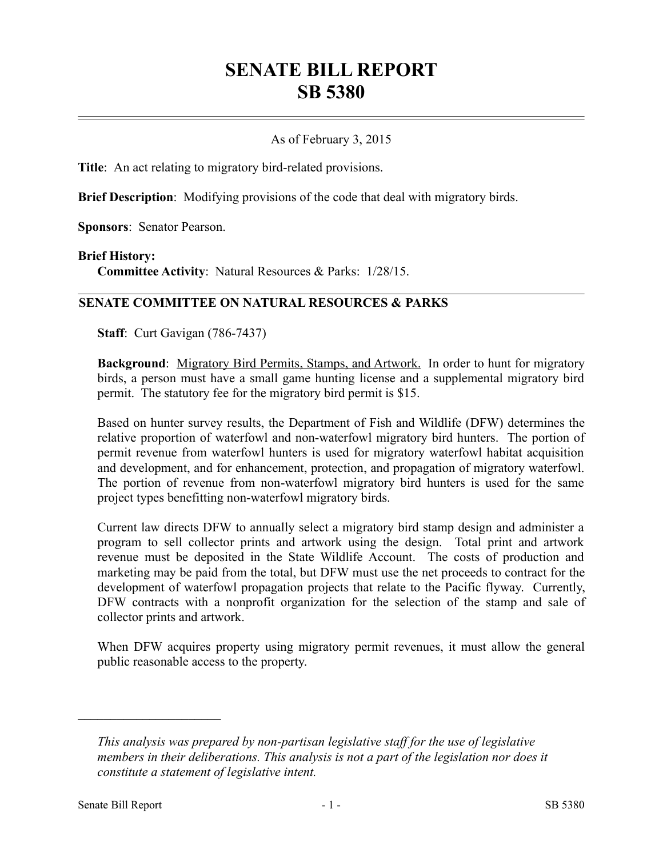# **SENATE BILL REPORT SB 5380**

## As of February 3, 2015

**Title**: An act relating to migratory bird-related provisions.

**Brief Description**: Modifying provisions of the code that deal with migratory birds.

**Sponsors**: Senator Pearson.

#### **Brief History:**

**Committee Activity**: Natural Resources & Parks: 1/28/15.

### **SENATE COMMITTEE ON NATURAL RESOURCES & PARKS**

**Staff**: Curt Gavigan (786-7437)

**Background**: Migratory Bird Permits, Stamps, and Artwork. In order to hunt for migratory birds, a person must have a small game hunting license and a supplemental migratory bird permit. The statutory fee for the migratory bird permit is \$15.

Based on hunter survey results, the Department of Fish and Wildlife (DFW) determines the relative proportion of waterfowl and non-waterfowl migratory bird hunters. The portion of permit revenue from waterfowl hunters is used for migratory waterfowl habitat acquisition and development, and for enhancement, protection, and propagation of migratory waterfowl. The portion of revenue from non-waterfowl migratory bird hunters is used for the same project types benefitting non-waterfowl migratory birds.

Current law directs DFW to annually select a migratory bird stamp design and administer a program to sell collector prints and artwork using the design. Total print and artwork revenue must be deposited in the State Wildlife Account. The costs of production and marketing may be paid from the total, but DFW must use the net proceeds to contract for the development of waterfowl propagation projects that relate to the Pacific flyway. Currently, DFW contracts with a nonprofit organization for the selection of the stamp and sale of collector prints and artwork.

When DFW acquires property using migratory permit revenues, it must allow the general public reasonable access to the property.

––––––––––––––––––––––

*This analysis was prepared by non-partisan legislative staff for the use of legislative members in their deliberations. This analysis is not a part of the legislation nor does it constitute a statement of legislative intent.*